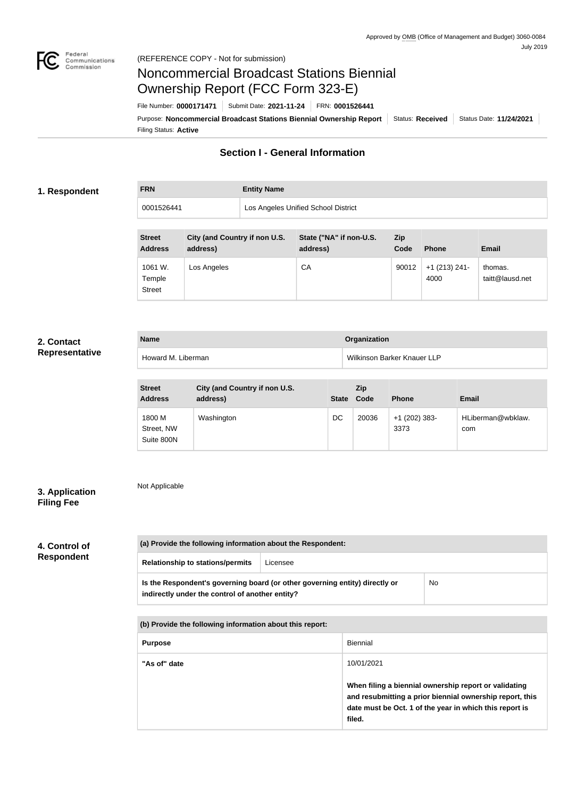

# Noncommercial Broadcast Stations Biennial Ownership Report (FCC Form 323-E)

Filing Status: **Active** Purpose: Noncommercial Broadcast Stations Biennial Ownership Report | Status: Received | Status Date: 11/24/2021 File Number: **0000171471** Submit Date: **2021-11-24** FRN: **0001526441**

# **Section I - General Information**

### **1. Respondent**

# **FRN Entity Name**

0001526441 Los Angeles Unified School District

| <b>Street</b><br><b>Address</b>    | City (and Country if non U.S.<br>address) | State ("NA" if non-U.S.<br>address) | Zip<br>Code | <b>Phone</b>            | <b>Email</b>               |
|------------------------------------|-------------------------------------------|-------------------------------------|-------------|-------------------------|----------------------------|
| 1061 W.<br>Temple<br><b>Street</b> | Los Angeles                               | CA                                  | 90012       | $+1$ (213) 241-<br>4000 | thomas.<br>taitt@lausd.net |

## **2. Contact Representative**

| <b>Name</b>        | Organization                |
|--------------------|-----------------------------|
| Howard M. Liberman | Wilkinson Barker Knauer LLP |

| <b>Street</b><br><b>Address</b>    | City (and Country if non U.S.<br>address) | <b>State</b> | <b>Zip</b><br>Code | <b>Phone</b>            | <b>Email</b>             |
|------------------------------------|-------------------------------------------|--------------|--------------------|-------------------------|--------------------------|
| 1800 M<br>Street, NW<br>Suite 800N | Washington                                | DC           | 20036              | $+1$ (202) 383-<br>3373 | HLiberman@wbklaw.<br>com |

# **3. Application Filing Fee**

Not Applicable

# **4. Control of Respondent**

| (a) Provide the following information about the Respondent:                                                                    |          |    |
|--------------------------------------------------------------------------------------------------------------------------------|----------|----|
| <b>Relationship to stations/permits</b>                                                                                        | Licensee |    |
| Is the Respondent's governing board (or other governing entity) directly or<br>indirectly under the control of another entity? |          | No |

**(b) Provide the following information about this report:**

| <b>Purpose</b> | <b>Biennial</b>                                                                                                                                                                                      |
|----------------|------------------------------------------------------------------------------------------------------------------------------------------------------------------------------------------------------|
| "As of" date   | 10/01/2021<br>When filing a biennial ownership report or validating<br>and resubmitting a prior biennial ownership report, this<br>date must be Oct. 1 of the year in which this report is<br>filed. |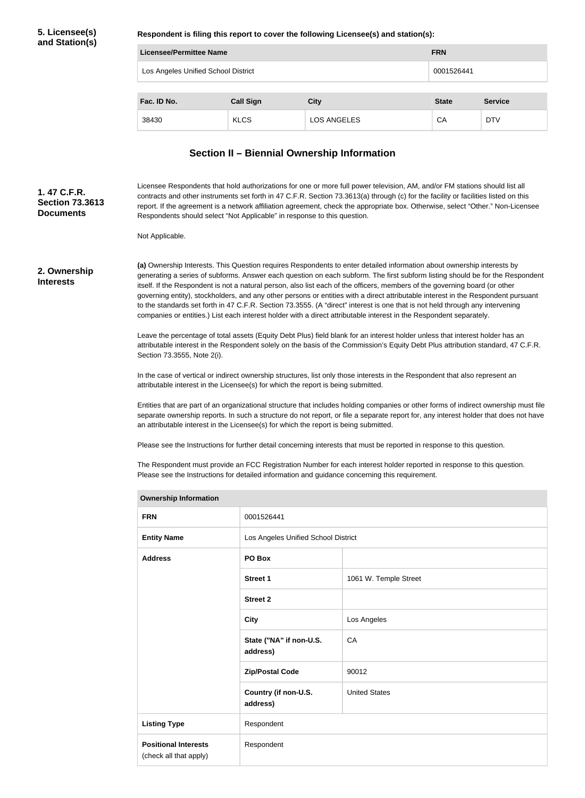## **5. Licensee(s) and Station(s)**

**Respondent is filing this report to cover the following Licensee(s) and station(s):**

| Licensee/Permittee Name                           |                  | <b>FRN</b>         |              |                |
|---------------------------------------------------|------------------|--------------------|--------------|----------------|
| Los Angeles Unified School District<br>0001526441 |                  |                    |              |                |
|                                                   |                  |                    |              |                |
| Fac. ID No.                                       | <b>Call Sign</b> | <b>City</b>        | <b>State</b> | <b>Service</b> |
| 38430                                             | <b>KLCS</b>      | <b>LOS ANGELES</b> | CA           | <b>DTV</b>     |

# **Section II – Biennial Ownership Information**

Licensee Respondents that hold authorizations for one or more full power television, AM, and/or FM stations should list all contracts and other instruments set forth in 47 C.F.R. Section 73.3613(a) through (c) for the facility or facilities listed on this report. If the agreement is a network affiliation agreement, check the appropriate box. Otherwise, select "Other." Non-Licensee Respondents should select "Not Applicable" in response to this question. **Section 73.3613** 

Not Applicable.

**2. Ownership Interests**

**1. 47 C.F.R.** 

**Documents**

**(a)** Ownership Interests. This Question requires Respondents to enter detailed information about ownership interests by generating a series of subforms. Answer each question on each subform. The first subform listing should be for the Respondent itself. If the Respondent is not a natural person, also list each of the officers, members of the governing board (or other governing entity), stockholders, and any other persons or entities with a direct attributable interest in the Respondent pursuant to the standards set forth in 47 C.F.R. Section 73.3555. (A "direct" interest is one that is not held through any intervening companies or entities.) List each interest holder with a direct attributable interest in the Respondent separately.

Leave the percentage of total assets (Equity Debt Plus) field blank for an interest holder unless that interest holder has an attributable interest in the Respondent solely on the basis of the Commission's Equity Debt Plus attribution standard, 47 C.F.R. Section 73.3555, Note 2(i).

In the case of vertical or indirect ownership structures, list only those interests in the Respondent that also represent an attributable interest in the Licensee(s) for which the report is being submitted.

Entities that are part of an organizational structure that includes holding companies or other forms of indirect ownership must file separate ownership reports. In such a structure do not report, or file a separate report for, any interest holder that does not have an attributable interest in the Licensee(s) for which the report is being submitted.

Please see the Instructions for further detail concerning interests that must be reported in response to this question.

The Respondent must provide an FCC Registration Number for each interest holder reported in response to this question. Please see the Instructions for detailed information and guidance concerning this requirement.

| <b>Ownership Information</b>                          |                                     |                       |  |
|-------------------------------------------------------|-------------------------------------|-----------------------|--|
| <b>FRN</b>                                            | 0001526441                          |                       |  |
| <b>Entity Name</b>                                    | Los Angeles Unified School District |                       |  |
| <b>Address</b>                                        | PO Box                              |                       |  |
|                                                       | Street 1                            | 1061 W. Temple Street |  |
|                                                       | <b>Street 2</b>                     |                       |  |
|                                                       | <b>City</b>                         | Los Angeles           |  |
|                                                       | State ("NA" if non-U.S.<br>address) | CA                    |  |
|                                                       | <b>Zip/Postal Code</b>              | 90012                 |  |
|                                                       | Country (if non-U.S.<br>address)    | <b>United States</b>  |  |
| <b>Listing Type</b>                                   | Respondent                          |                       |  |
| <b>Positional Interests</b><br>(check all that apply) | Respondent                          |                       |  |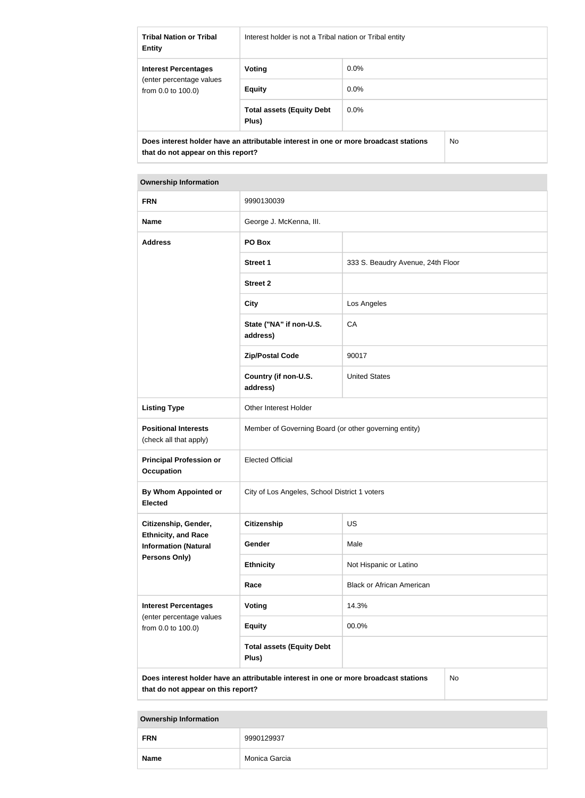| <b>Tribal Nation or Tribal</b><br><b>Entity</b>      | Interest holder is not a Tribal nation or Tribal entity                              |         |     |
|------------------------------------------------------|--------------------------------------------------------------------------------------|---------|-----|
| <b>Interest Percentages</b>                          | Voting                                                                               | $0.0\%$ |     |
| (enter percentage values)<br>from $0.0$ to $100.0$ ) | <b>Equity</b>                                                                        | $0.0\%$ |     |
|                                                      | <b>Total assets (Equity Debt</b><br>Plus)                                            | $0.0\%$ |     |
| that do not appear on this report?                   | Does interest holder have an attributable interest in one or more broadcast stations |         | No. |

| <b>Ownership Information</b>                                                                                                            |                                                       |                                   |  |
|-----------------------------------------------------------------------------------------------------------------------------------------|-------------------------------------------------------|-----------------------------------|--|
| <b>FRN</b>                                                                                                                              | 9990130039                                            |                                   |  |
| <b>Name</b>                                                                                                                             | George J. McKenna, III.                               |                                   |  |
| <b>Address</b>                                                                                                                          | PO Box                                                |                                   |  |
|                                                                                                                                         | <b>Street 1</b>                                       | 333 S. Beaudry Avenue, 24th Floor |  |
|                                                                                                                                         | <b>Street 2</b>                                       |                                   |  |
|                                                                                                                                         | <b>City</b>                                           | Los Angeles                       |  |
|                                                                                                                                         | State ("NA" if non-U.S.<br>address)                   | CA                                |  |
|                                                                                                                                         | <b>Zip/Postal Code</b>                                | 90017                             |  |
|                                                                                                                                         | Country (if non-U.S.<br>address)                      | <b>United States</b>              |  |
| <b>Listing Type</b>                                                                                                                     | Other Interest Holder                                 |                                   |  |
| <b>Positional Interests</b><br>(check all that apply)                                                                                   | Member of Governing Board (or other governing entity) |                                   |  |
| <b>Principal Profession or</b><br><b>Occupation</b>                                                                                     | <b>Elected Official</b>                               |                                   |  |
| <b>By Whom Appointed or</b><br><b>Elected</b>                                                                                           | City of Los Angeles, School District 1 voters         |                                   |  |
| Citizenship, Gender,                                                                                                                    | <b>Citizenship</b>                                    | <b>US</b>                         |  |
| <b>Ethnicity, and Race</b><br><b>Information (Natural</b>                                                                               | Gender                                                | Male                              |  |
| <b>Persons Only)</b>                                                                                                                    | <b>Ethnicity</b>                                      | Not Hispanic or Latino            |  |
|                                                                                                                                         | Race                                                  | <b>Black or African American</b>  |  |
| <b>Interest Percentages</b><br>(enter percentage values                                                                                 | Voting                                                | 14.3%                             |  |
| from 0.0 to 100.0)                                                                                                                      | <b>Equity</b>                                         | 00.0%                             |  |
|                                                                                                                                         | <b>Total assets (Equity Debt</b><br>Plus)             |                                   |  |
| Does interest holder have an attributable interest in one or more broadcast stations<br><b>No</b><br>that do not appear on this report? |                                                       |                                   |  |

**Ownership Information**

٠

| <b>FRN</b>  | 9990129937    |
|-------------|---------------|
| <b>Name</b> | Monica Garcia |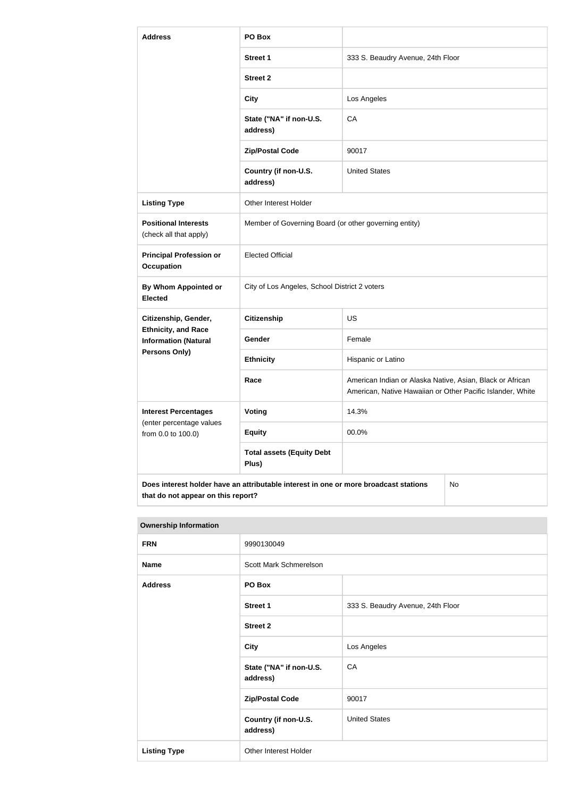| <b>Address</b>                                                                                                                          | PO Box                                                |                                                                                                                         |  |
|-----------------------------------------------------------------------------------------------------------------------------------------|-------------------------------------------------------|-------------------------------------------------------------------------------------------------------------------------|--|
|                                                                                                                                         | <b>Street 1</b>                                       | 333 S. Beaudry Avenue, 24th Floor                                                                                       |  |
|                                                                                                                                         | <b>Street 2</b>                                       |                                                                                                                         |  |
|                                                                                                                                         | <b>City</b>                                           | Los Angeles                                                                                                             |  |
|                                                                                                                                         | State ("NA" if non-U.S.<br>address)                   | CA                                                                                                                      |  |
|                                                                                                                                         | <b>Zip/Postal Code</b>                                | 90017                                                                                                                   |  |
|                                                                                                                                         | Country (if non-U.S.<br>address)                      | <b>United States</b>                                                                                                    |  |
| <b>Listing Type</b>                                                                                                                     | Other Interest Holder                                 |                                                                                                                         |  |
| <b>Positional Interests</b><br>(check all that apply)                                                                                   | Member of Governing Board (or other governing entity) |                                                                                                                         |  |
| <b>Principal Profession or</b><br><b>Occupation</b>                                                                                     | <b>Elected Official</b>                               |                                                                                                                         |  |
| By Whom Appointed or<br><b>Elected</b>                                                                                                  | City of Los Angeles, School District 2 voters         |                                                                                                                         |  |
| Citizenship, Gender,                                                                                                                    | <b>Citizenship</b>                                    | <b>US</b>                                                                                                               |  |
| <b>Ethnicity, and Race</b><br><b>Information (Natural</b>                                                                               | Gender                                                | Female                                                                                                                  |  |
| Persons Only)                                                                                                                           | <b>Ethnicity</b>                                      | Hispanic or Latino                                                                                                      |  |
|                                                                                                                                         | Race                                                  | American Indian or Alaska Native, Asian, Black or African<br>American, Native Hawaiian or Other Pacific Islander, White |  |
| <b>Interest Percentages</b>                                                                                                             | Voting                                                | 14.3%                                                                                                                   |  |
| (enter percentage values<br>from 0.0 to 100.0)                                                                                          | <b>Equity</b>                                         | 00.0%                                                                                                                   |  |
|                                                                                                                                         | <b>Total assets (Equity Debt</b><br>Plus)             |                                                                                                                         |  |
| Does interest holder have an attributable interest in one or more broadcast stations<br><b>No</b><br>that do not appear on this report? |                                                       |                                                                                                                         |  |

#### **Ownership Information**

| .                   |                                     |                                   |
|---------------------|-------------------------------------|-----------------------------------|
| <b>FRN</b>          | 9990130049                          |                                   |
| <b>Name</b>         | Scott Mark Schmerelson              |                                   |
| <b>Address</b>      | PO Box                              |                                   |
|                     | <b>Street 1</b>                     | 333 S. Beaudry Avenue, 24th Floor |
|                     | <b>Street 2</b>                     |                                   |
|                     | <b>City</b>                         | Los Angeles                       |
|                     | State ("NA" if non-U.S.<br>address) | CA                                |
|                     | <b>Zip/Postal Code</b>              | 90017                             |
|                     | Country (if non-U.S.<br>address)    | <b>United States</b>              |
| <b>Listing Type</b> | Other Interest Holder               |                                   |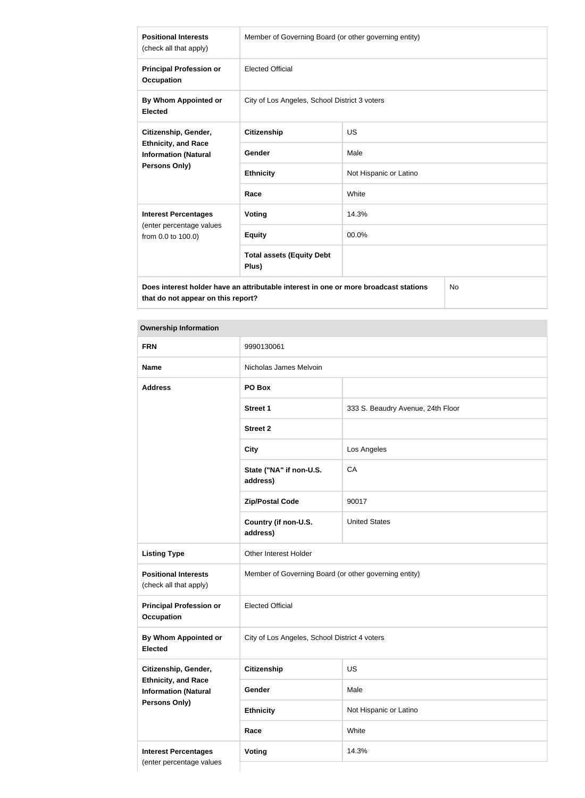| <b>Positional Interests</b><br>(check all that apply)                                       | Member of Governing Board (or other governing entity) |                        |  |
|---------------------------------------------------------------------------------------------|-------------------------------------------------------|------------------------|--|
| <b>Principal Profession or</b><br><b>Occupation</b>                                         | <b>Elected Official</b>                               |                        |  |
| By Whom Appointed or<br><b>Elected</b>                                                      | City of Los Angeles, School District 3 voters         |                        |  |
| Citizenship, Gender,                                                                        | <b>Citizenship</b>                                    | <b>US</b>              |  |
| <b>Ethnicity, and Race</b><br><b>Information (Natural</b>                                   | Gender                                                | Male                   |  |
| Persons Only)                                                                               | <b>Ethnicity</b>                                      | Not Hispanic or Latino |  |
|                                                                                             | Race                                                  | White                  |  |
| <b>Interest Percentages</b><br>(enter percentage values<br>from 0.0 to 100.0)               | <b>Voting</b>                                         | 14.3%                  |  |
|                                                                                             | <b>Equity</b>                                         | 00.0%                  |  |
|                                                                                             | <b>Total assets (Equity Debt</b><br>Plus)             |                        |  |
| Does interest holder have an attributable interest in one or more broadcast stations<br>No. |                                                       |                        |  |

**Does interest holder have an attributable interest in one or more broadcast stations that do not appear on this report?**

# **Ownership Information**

| <b>FRN</b>                                                | 9990130061                                            |                                   |
|-----------------------------------------------------------|-------------------------------------------------------|-----------------------------------|
| <b>Name</b>                                               | Nicholas James Melvoin                                |                                   |
| <b>Address</b>                                            | PO Box                                                |                                   |
|                                                           | <b>Street 1</b>                                       | 333 S. Beaudry Avenue, 24th Floor |
|                                                           | <b>Street 2</b>                                       |                                   |
|                                                           | <b>City</b>                                           | Los Angeles                       |
|                                                           | State ("NA" if non-U.S.<br>address)                   | CA                                |
|                                                           | <b>Zip/Postal Code</b>                                | 90017                             |
|                                                           | Country (if non-U.S.<br>address)                      | <b>United States</b>              |
| <b>Listing Type</b>                                       | Other Interest Holder                                 |                                   |
| <b>Positional Interests</b><br>(check all that apply)     | Member of Governing Board (or other governing entity) |                                   |
| <b>Principal Profession or</b><br><b>Occupation</b>       | <b>Elected Official</b>                               |                                   |
| By Whom Appointed or<br><b>Elected</b>                    | City of Los Angeles, School District 4 voters         |                                   |
| Citizenship, Gender,<br><b>Citizenship</b>                |                                                       | US                                |
| <b>Ethnicity, and Race</b><br><b>Information (Natural</b> | Gender                                                | Male                              |
| <b>Persons Only)</b>                                      | <b>Ethnicity</b>                                      | Not Hispanic or Latino            |
|                                                           | Race                                                  | White                             |
| <b>Interest Percentages</b>                               | Voting                                                | 14.3%                             |
| (enter percentage values                                  |                                                       |                                   |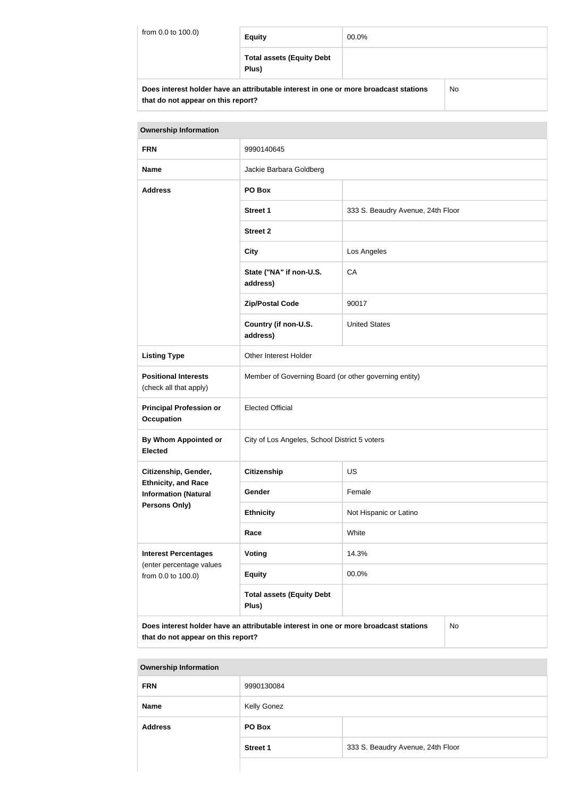| from 0.0 to 100.0) | <b>Equity</b>                                                                        | 00.0% |    |
|--------------------|--------------------------------------------------------------------------------------|-------|----|
|                    | <b>Total assets (Equity Debt</b><br>Plus)                                            |       |    |
|                    | Does interest holder have an attributable interest in one or more broadcast stations |       | No |

**that do not appear on this report?**

| <b>Ownership Information</b>                                                                                                     |                                                       |                                   |  |  |
|----------------------------------------------------------------------------------------------------------------------------------|-------------------------------------------------------|-----------------------------------|--|--|
| <b>FRN</b>                                                                                                                       | 9990140645                                            |                                   |  |  |
| <b>Name</b>                                                                                                                      | Jackie Barbara Goldberg                               |                                   |  |  |
| PO Box<br><b>Address</b>                                                                                                         |                                                       |                                   |  |  |
|                                                                                                                                  | <b>Street 1</b>                                       | 333 S. Beaudry Avenue, 24th Floor |  |  |
|                                                                                                                                  | <b>Street 2</b>                                       |                                   |  |  |
|                                                                                                                                  | <b>City</b>                                           | Los Angeles                       |  |  |
|                                                                                                                                  | State ("NA" if non-U.S.<br>address)                   | CA                                |  |  |
|                                                                                                                                  | <b>Zip/Postal Code</b>                                | 90017                             |  |  |
|                                                                                                                                  | Country (if non-U.S.<br>address)                      | <b>United States</b>              |  |  |
| <b>Listing Type</b>                                                                                                              | Other Interest Holder                                 |                                   |  |  |
| <b>Positional Interests</b><br>(check all that apply)                                                                            | Member of Governing Board (or other governing entity) |                                   |  |  |
| <b>Principal Profession or</b><br><b>Occupation</b>                                                                              | <b>Elected Official</b>                               |                                   |  |  |
| <b>By Whom Appointed or</b><br><b>Elected</b>                                                                                    | City of Los Angeles, School District 5 voters         |                                   |  |  |
| Citizenship, Gender,<br><b>Citizenship</b><br><b>US</b>                                                                          |                                                       |                                   |  |  |
| <b>Ethnicity, and Race</b><br><b>Information (Natural</b>                                                                        | Gender                                                | Female                            |  |  |
| Persons Only)                                                                                                                    | <b>Ethnicity</b>                                      | Not Hispanic or Latino            |  |  |
|                                                                                                                                  | White<br>Race                                         |                                   |  |  |
| <b>Interest Percentages</b><br>(enter percentage values                                                                          | Voting                                                | 14.3%                             |  |  |
| from 0.0 to 100.0)                                                                                                               | <b>Equity</b>                                         | 00.0%                             |  |  |
|                                                                                                                                  | <b>Total assets (Equity Debt</b><br>Plus)             |                                   |  |  |
| Does interest holder have an attributable interest in one or more broadcast stations<br>No<br>that do not appear on this report? |                                                       |                                   |  |  |

# **Ownership Information FRN** 9990130084 **Name** Kelly Gonez **Address PO Box Street 1** 333 S. Beaudry Avenue, 24th Floor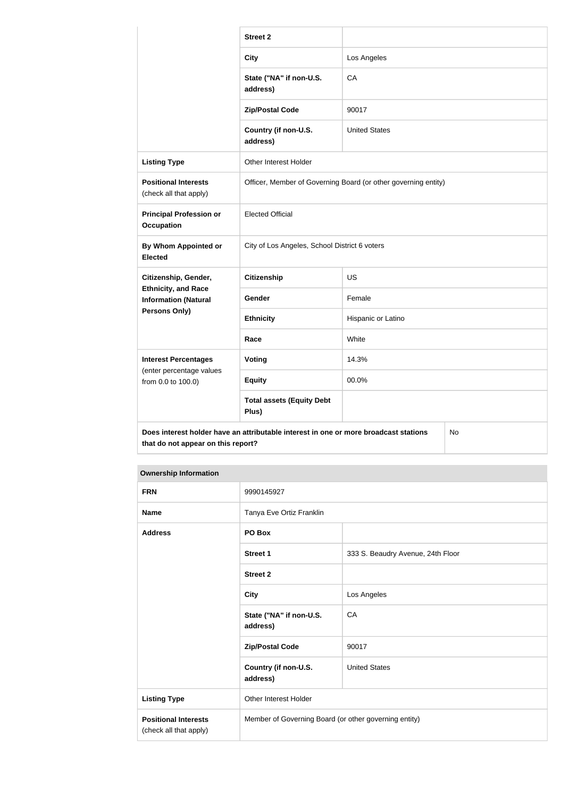|                                                                                                                                  | <b>Street 2</b>                                                |                      |  |
|----------------------------------------------------------------------------------------------------------------------------------|----------------------------------------------------------------|----------------------|--|
|                                                                                                                                  | <b>City</b>                                                    | Los Angeles          |  |
|                                                                                                                                  | State ("NA" if non-U.S.<br>address)                            | CA                   |  |
|                                                                                                                                  | <b>Zip/Postal Code</b>                                         | 90017                |  |
|                                                                                                                                  | Country (if non-U.S.<br>address)                               | <b>United States</b> |  |
| <b>Listing Type</b>                                                                                                              | Other Interest Holder                                          |                      |  |
| <b>Positional Interests</b><br>(check all that apply)                                                                            | Officer, Member of Governing Board (or other governing entity) |                      |  |
| <b>Principal Profession or</b><br><b>Occupation</b>                                                                              | <b>Elected Official</b>                                        |                      |  |
| By Whom Appointed or<br><b>Elected</b>                                                                                           | City of Los Angeles, School District 6 voters                  |                      |  |
| Citizenship, Gender,                                                                                                             | <b>Citizenship</b>                                             | <b>US</b>            |  |
| <b>Ethnicity, and Race</b><br><b>Information (Natural</b>                                                                        | Gender                                                         | Female               |  |
| Persons Only)                                                                                                                    | <b>Ethnicity</b>                                               | Hispanic or Latino   |  |
|                                                                                                                                  | Race                                                           | White                |  |
| <b>Interest Percentages</b>                                                                                                      | Voting                                                         | 14.3%                |  |
| (enter percentage values<br>from 0.0 to 100.0)                                                                                   | <b>Equity</b>                                                  | 00.0%                |  |
|                                                                                                                                  | <b>Total assets (Equity Debt</b><br>Plus)                      |                      |  |
| Does interest holder have an attributable interest in one or more broadcast stations<br>No<br>that do not appear on this report? |                                                                |                      |  |

#### **Ownership Information**

| <b>FRN</b>                                            | 9990145927                                            |                                   |
|-------------------------------------------------------|-------------------------------------------------------|-----------------------------------|
| <b>Name</b>                                           | Tanya Eve Ortiz Franklin                              |                                   |
| <b>Address</b>                                        | PO Box                                                |                                   |
|                                                       | Street 1                                              | 333 S. Beaudry Avenue, 24th Floor |
|                                                       | <b>Street 2</b>                                       |                                   |
|                                                       | <b>City</b>                                           | Los Angeles                       |
|                                                       | State ("NA" if non-U.S.<br>address)                   | CA                                |
|                                                       | <b>Zip/Postal Code</b>                                | 90017                             |
|                                                       | Country (if non-U.S.<br>address)                      | <b>United States</b>              |
| <b>Listing Type</b>                                   | Other Interest Holder                                 |                                   |
| <b>Positional Interests</b><br>(check all that apply) | Member of Governing Board (or other governing entity) |                                   |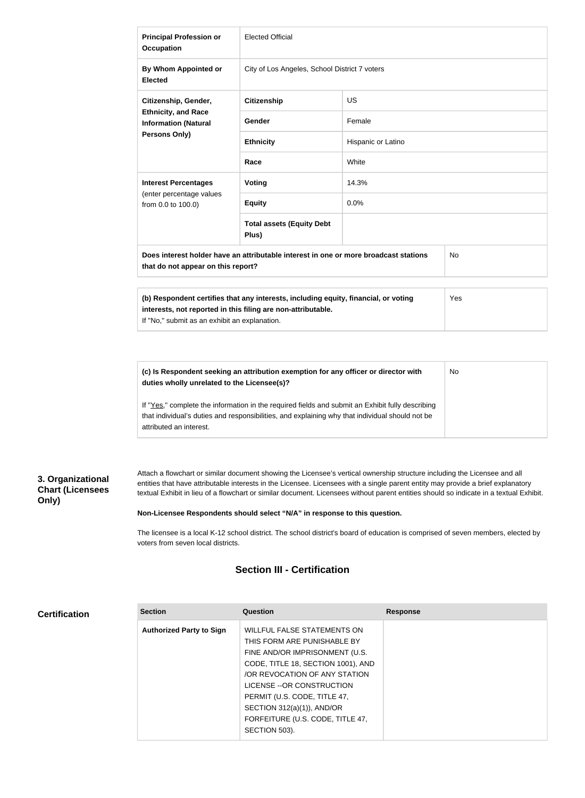| <b>Principal Profession or</b><br><b>Occupation</b>                                                                                                                                                         | <b>Elected Official</b>                       |                    |  |
|-------------------------------------------------------------------------------------------------------------------------------------------------------------------------------------------------------------|-----------------------------------------------|--------------------|--|
| By Whom Appointed or<br><b>Elected</b>                                                                                                                                                                      | City of Los Angeles, School District 7 voters |                    |  |
| Citizenship, Gender,                                                                                                                                                                                        | <b>Citizenship</b>                            | <b>US</b>          |  |
| <b>Ethnicity, and Race</b><br><b>Information (Natural</b>                                                                                                                                                   | Gender                                        | Female             |  |
| <b>Persons Only)</b>                                                                                                                                                                                        | <b>Ethnicity</b>                              | Hispanic or Latino |  |
|                                                                                                                                                                                                             | Race                                          | White              |  |
| <b>Interest Percentages</b><br>(enter percentage values<br>from 0.0 to 100.0)                                                                                                                               | Voting                                        | 14.3%              |  |
|                                                                                                                                                                                                             | <b>Equity</b>                                 | 0.0%               |  |
|                                                                                                                                                                                                             | <b>Total assets (Equity Debt</b><br>Plus)     |                    |  |
| Does interest holder have an attributable interest in one or more broadcast stations<br>No<br>that do not appear on this report?                                                                            |                                               |                    |  |
| (b) Respondent certifies that any interests, including equity, financial, or voting<br>Yes<br>interests, not reported in this filing are non-attributable.<br>If "No," submit as an exhibit an explanation. |                                               |                    |  |

| (c) Is Respondent seeking an attribution exemption for any officer or director with<br>duties wholly unrelated to the Licensee(s)?                                                                  | No |
|-----------------------------------------------------------------------------------------------------------------------------------------------------------------------------------------------------|----|
| If "Yes," complete the information in the required fields and submit an Exhibit fully describing<br>that individual's duties and responsibilities, and explaining why that individual should not be |    |
| attributed an interest.                                                                                                                                                                             |    |

# **3. Organizational Chart (Licensees Only)**

Attach a flowchart or similar document showing the Licensee's vertical ownership structure including the Licensee and all entities that have attributable interests in the Licensee. Licensees with a single parent entity may provide a brief explanatory textual Exhibit in lieu of a flowchart or similar document. Licensees without parent entities should so indicate in a textual Exhibit.

#### **Non-Licensee Respondents should select "N/A" in response to this question.**

The licensee is a local K-12 school district. The school district's board of education is comprised of seven members, elected by voters from seven local districts.

# **Section III - Certification**

#### **Certification**

| <b>Section</b>                  | Question                           | <b>Response</b> |
|---------------------------------|------------------------------------|-----------------|
| <b>Authorized Party to Sign</b> | <b>WILLFUL FALSE STATEMENTS ON</b> |                 |
|                                 | THIS FORM ARE PUNISHABLE BY        |                 |
|                                 | FINE AND/OR IMPRISONMENT (U.S.     |                 |
|                                 | CODE, TITLE 18, SECTION 1001), AND |                 |
|                                 | OR REVOCATION OF ANY STATION       |                 |
|                                 | LICENSE --OR CONSTRUCTION          |                 |
|                                 | PERMIT (U.S. CODE, TITLE 47,       |                 |
|                                 | SECTION 312(a)(1)), AND/OR         |                 |
|                                 | FORFEITURE (U.S. CODE, TITLE 47,   |                 |
|                                 | SECTION 503).                      |                 |
|                                 |                                    |                 |